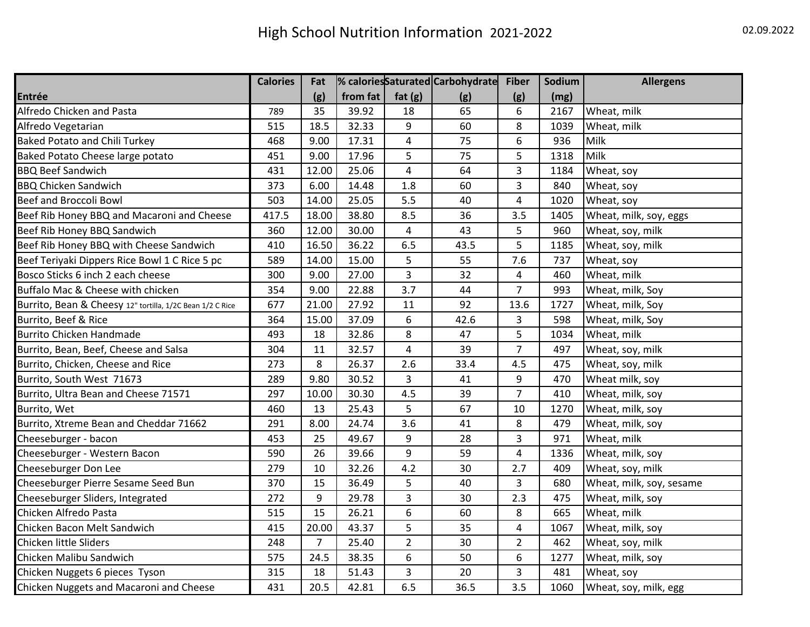|                                                           | <b>Calories</b> | Fat            |          |                         | % caloriesSaturated Carbohydrate | <b>Fiber</b>   | Sodium | <b>Allergens</b>         |
|-----------------------------------------------------------|-----------------|----------------|----------|-------------------------|----------------------------------|----------------|--------|--------------------------|
| Entrée                                                    |                 | (g)            | from fat | fat $(g)$               | (g)                              | (g)            | (mg)   |                          |
| Alfredo Chicken and Pasta                                 | 789             | 35             | 39.92    | 18                      | 65                               | 6              | 2167   | Wheat, milk              |
| Alfredo Vegetarian                                        | 515             | 18.5           | 32.33    | 9                       | 60                               | 8              | 1039   | Wheat, milk              |
| <b>Baked Potato and Chili Turkey</b>                      | 468             | 9.00           | 17.31    | $\pmb{4}$               | 75                               | 6              | 936    | Milk                     |
| Baked Potato Cheese large potato                          | 451             | 9.00           | 17.96    | 5                       | 75                               | 5              | 1318   | Milk                     |
| <b>BBQ Beef Sandwich</b>                                  | 431             | 12.00          | 25.06    | $\overline{4}$          | 64                               | 3              | 1184   | Wheat, soy               |
| <b>BBQ Chicken Sandwich</b>                               | 373             | 6.00           | 14.48    | 1.8                     | 60                               | 3              | 840    | Wheat, soy               |
| <b>Beef and Broccoli Bowl</b>                             | 503             | 14.00          | 25.05    | 5.5                     | 40                               | 4              | 1020   | Wheat, soy               |
| Beef Rib Honey BBQ and Macaroni and Cheese                | 417.5           | 18.00          | 38.80    | 8.5                     | 36                               | 3.5            | 1405   | Wheat, milk, soy, eggs   |
| Beef Rib Honey BBQ Sandwich                               | 360             | 12.00          | 30.00    | $\overline{\mathbf{4}}$ | 43                               | 5              | 960    | Wheat, soy, milk         |
| Beef Rib Honey BBQ with Cheese Sandwich                   | 410             | 16.50          | 36.22    | 6.5                     | 43.5                             | 5              | 1185   | Wheat, soy, milk         |
| Beef Teriyaki Dippers Rice Bowl 1 C Rice 5 pc             | 589             | 14.00          | 15.00    | 5                       | 55                               | 7.6            | 737    | Wheat, soy               |
| Bosco Sticks 6 inch 2 each cheese                         | 300             | 9.00           | 27.00    | $\overline{3}$          | 32                               | 4              | 460    | Wheat, milk              |
| Buffalo Mac & Cheese with chicken                         | 354             | 9.00           | 22.88    | 3.7                     | 44                               | $\overline{7}$ | 993    | Wheat, milk, Soy         |
| Burrito, Bean & Cheesy 12" tortilla, 1/2C Bean 1/2 C Rice | 677             | 21.00          | 27.92    | 11                      | 92                               | 13.6           | 1727   | Wheat, milk, Soy         |
| Burrito, Beef & Rice                                      | 364             | 15.00          | 37.09    | 6                       | 42.6                             | 3              | 598    | Wheat, milk, Soy         |
| <b>Burrito Chicken Handmade</b>                           | 493             | 18             | 32.86    | 8                       | 47                               | 5              | 1034   | Wheat, milk              |
| Burrito, Bean, Beef, Cheese and Salsa                     | 304             | 11             | 32.57    | $\overline{4}$          | 39                               | 7              | 497    | Wheat, soy, milk         |
| Burrito, Chicken, Cheese and Rice                         | 273             | 8              | 26.37    | 2.6                     | 33.4                             | 4.5            | 475    | Wheat, soy, milk         |
| Burrito, South West 71673                                 | 289             | 9.80           | 30.52    | 3                       | 41                               | 9              | 470    | Wheat milk, soy          |
| Burrito, Ultra Bean and Cheese 71571                      | 297             | 10.00          | 30.30    | 4.5                     | 39                               | $\overline{7}$ | 410    | Wheat, milk, soy         |
| Burrito, Wet                                              | 460             | 13             | 25.43    | 5                       | 67                               | 10             | 1270   | Wheat, milk, soy         |
| Burrito, Xtreme Bean and Cheddar 71662                    | 291             | 8.00           | 24.74    | 3.6                     | 41                               | 8              | 479    | Wheat, milk, soy         |
| Cheeseburger - bacon                                      | 453             | 25             | 49.67    | 9                       | 28                               | 3              | 971    | Wheat, milk              |
| Cheeseburger - Western Bacon                              | 590             | 26             | 39.66    | 9                       | 59                               | 4              | 1336   | Wheat, milk, soy         |
| Cheeseburger Don Lee                                      | 279             | 10             | 32.26    | 4.2                     | 30                               | 2.7            | 409    | Wheat, soy, milk         |
| Cheeseburger Pierre Sesame Seed Bun                       | 370             | 15             | 36.49    | 5                       | 40                               | 3              | 680    | Wheat, milk, soy, sesame |
| Cheeseburger Sliders, Integrated                          | 272             | 9              | 29.78    | $\overline{\mathbf{3}}$ | 30                               | 2.3            | 475    | Wheat, milk, soy         |
| Chicken Alfredo Pasta                                     | 515             | 15             | 26.21    | 6                       | 60                               | 8              | 665    | Wheat, milk              |
| Chicken Bacon Melt Sandwich                               | 415             | 20.00          | 43.37    | 5                       | 35                               | 4              | 1067   | Wheat, milk, soy         |
| Chicken little Sliders                                    | 248             | $\overline{7}$ | 25.40    | $\overline{2}$          | 30                               | $\overline{2}$ | 462    | Wheat, soy, milk         |
| Chicken Malibu Sandwich                                   | 575             | 24.5           | 38.35    | 6                       | 50                               | 6              | 1277   | Wheat, milk, soy         |
| Chicken Nuggets 6 pieces Tyson                            | 315             | 18             | 51.43    | 3                       | 20                               | 3              | 481    | Wheat, soy               |
| Chicken Nuggets and Macaroni and Cheese                   | 431             | 20.5           | 42.81    | 6.5                     | 36.5                             | 3.5            | 1060   | Wheat, soy, milk, egg    |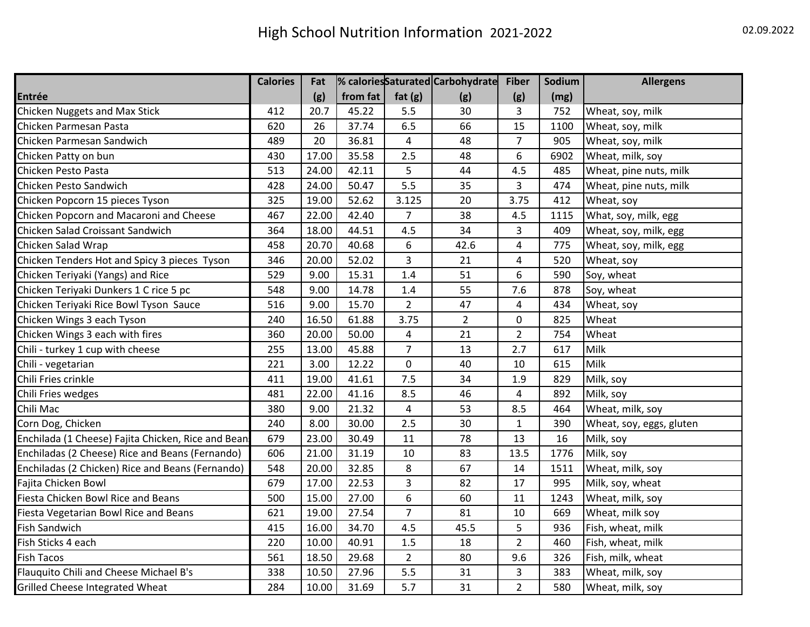|                                                     | <b>Calories</b> | Fat   |          |                         | % caloriesSaturated Carbohydrate | <b>Fiber</b>   | Sodium | <b>Allergens</b>         |
|-----------------------------------------------------|-----------------|-------|----------|-------------------------|----------------------------------|----------------|--------|--------------------------|
| Entrée                                              |                 | (g)   | from fat | fat $(g)$               | (g)                              | (g)            | (mg)   |                          |
| <b>Chicken Nuggets and Max Stick</b>                | 412             | 20.7  | 45.22    | 5.5                     | 30                               | 3              | 752    | Wheat, soy, milk         |
| Chicken Parmesan Pasta                              | 620             | 26    | 37.74    | 6.5                     | 66                               | 15             | 1100   | Wheat, soy, milk         |
| Chicken Parmesan Sandwich                           | 489             | 20    | 36.81    | $\overline{\mathbf{4}}$ | 48                               | $\overline{7}$ | 905    | Wheat, soy, milk         |
| Chicken Patty on bun                                | 430             | 17.00 | 35.58    | 2.5                     | 48                               | 6              | 6902   | Wheat, milk, soy         |
| Chicken Pesto Pasta                                 | 513             | 24.00 | 42.11    | 5                       | 44                               | 4.5            | 485    | Wheat, pine nuts, milk   |
| Chicken Pesto Sandwich                              | 428             | 24.00 | 50.47    | 5.5                     | 35                               | 3              | 474    | Wheat, pine nuts, milk   |
| Chicken Popcorn 15 pieces Tyson                     | 325             | 19.00 | 52.62    | 3.125                   | 20                               | 3.75           | 412    | Wheat, soy               |
| Chicken Popcorn and Macaroni and Cheese             | 467             | 22.00 | 42.40    | $\overline{7}$          | 38                               | 4.5            | 1115   | What, soy, milk, egg     |
| Chicken Salad Croissant Sandwich                    | 364             | 18.00 | 44.51    | 4.5                     | 34                               | 3              | 409    | Wheat, soy, milk, egg    |
| Chicken Salad Wrap                                  | 458             | 20.70 | 40.68    | 6                       | 42.6                             | 4              | 775    | Wheat, soy, milk, egg    |
| Chicken Tenders Hot and Spicy 3 pieces Tyson        | 346             | 20.00 | 52.02    | 3                       | 21                               | 4              | 520    | Wheat, soy               |
| Chicken Teriyaki (Yangs) and Rice                   | 529             | 9.00  | 15.31    | 1.4                     | 51                               | 6              | 590    | Soy, wheat               |
| Chicken Teriyaki Dunkers 1 C rice 5 pc              | 548             | 9.00  | 14.78    | 1.4                     | 55                               | 7.6            | 878    | Soy, wheat               |
| Chicken Teriyaki Rice Bowl Tyson Sauce              | 516             | 9.00  | 15.70    | $\overline{2}$          | 47                               | 4              | 434    | Wheat, soy               |
| Chicken Wings 3 each Tyson                          | 240             | 16.50 | 61.88    | 3.75                    | $\overline{2}$                   | 0              | 825    | Wheat                    |
| Chicken Wings 3 each with fires                     | 360             | 20.00 | 50.00    | 4                       | 21                               | $\overline{2}$ | 754    | Wheat                    |
| Chili - turkey 1 cup with cheese                    | 255             | 13.00 | 45.88    | $\overline{7}$          | 13                               | 2.7            | 617    | Milk                     |
| Chili - vegetarian                                  | 221             | 3.00  | 12.22    | $\mathbf 0$             | 40                               | 10             | 615    | Milk                     |
| Chili Fries crinkle                                 | 411             | 19.00 | 41.61    | 7.5                     | 34                               | 1.9            | 829    | Milk, soy                |
| Chili Fries wedges                                  | 481             | 22.00 | 41.16    | 8.5                     | 46                               | 4              | 892    | Milk, soy                |
| Chili Mac                                           | 380             | 9.00  | 21.32    | 4                       | 53                               | 8.5            | 464    | Wheat, milk, soy         |
| Corn Dog, Chicken                                   | 240             | 8.00  | 30.00    | 2.5                     | 30                               | 1              | 390    | Wheat, soy, eggs, gluten |
| Enchilada (1 Cheese) Fajita Chicken, Rice and Bean: | 679             | 23.00 | 30.49    | 11                      | 78                               | 13             | 16     | Milk, soy                |
| Enchiladas (2 Cheese) Rice and Beans (Fernando)     | 606             | 21.00 | 31.19    | 10                      | 83                               | 13.5           | 1776   | Milk, soy                |
| Enchiladas (2 Chicken) Rice and Beans (Fernando)    | 548             | 20.00 | 32.85    | 8                       | 67                               | 14             | 1511   | Wheat, milk, soy         |
| Fajita Chicken Bowl                                 | 679             | 17.00 | 22.53    | 3                       | 82                               | 17             | 995    | Milk, soy, wheat         |
| Fiesta Chicken Bowl Rice and Beans                  | 500             | 15.00 | 27.00    | 6                       | 60                               | 11             | 1243   | Wheat, milk, soy         |
| Fiesta Vegetarian Bowl Rice and Beans               | 621             | 19.00 | 27.54    | $\overline{7}$          | 81                               | 10             | 669    | Wheat, milk soy          |
| Fish Sandwich                                       | 415             | 16.00 | 34.70    | 4.5                     | 45.5                             | 5              | 936    | Fish, wheat, milk        |
| Fish Sticks 4 each                                  | 220             | 10.00 | 40.91    | 1.5                     | 18                               | $\overline{2}$ | 460    | Fish, wheat, milk        |
| Fish Tacos                                          | 561             | 18.50 | 29.68    | $\overline{2}$          | 80                               | 9.6            | 326    | Fish, milk, wheat        |
| Flauquito Chili and Cheese Michael B's              | 338             | 10.50 | 27.96    | 5.5                     | 31                               | 3              | 383    | Wheat, milk, soy         |
| Grilled Cheese Integrated Wheat                     | 284             | 10.00 | 31.69    | 5.7                     | 31                               | $\overline{2}$ | 580    | Wheat, milk, soy         |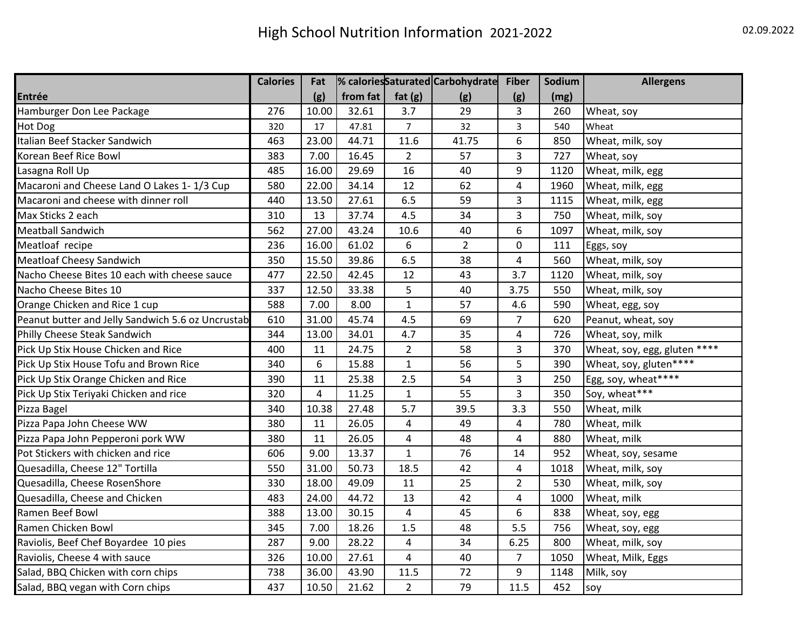|                                                   | <b>Calories</b> | Fat            |          |                         | % caloriesSaturated Carbohydrate | <b>Fiber</b>   | Sodium | <b>Allergens</b>             |
|---------------------------------------------------|-----------------|----------------|----------|-------------------------|----------------------------------|----------------|--------|------------------------------|
| Entrée                                            |                 | (g)            | from fat | fat $(g)$               | (g)                              | (g)            | (mg)   |                              |
| Hamburger Don Lee Package                         | 276             | 10.00          | 32.61    | 3.7                     | 29                               | 3              | 260    | Wheat, soy                   |
| Hot Dog                                           | 320             | 17             | 47.81    | $\overline{7}$          | 32                               | 3              | 540    | Wheat                        |
| Italian Beef Stacker Sandwich                     | 463             | 23.00          | 44.71    | 11.6                    | 41.75                            | 6              | 850    | Wheat, milk, soy             |
| Korean Beef Rice Bowl                             | 383             | 7.00           | 16.45    | $\overline{2}$          | 57                               | 3              | 727    | Wheat, soy                   |
| Lasagna Roll Up                                   | 485             | 16.00          | 29.69    | 16                      | 40                               | 9              | 1120   | Wheat, milk, egg             |
| Macaroni and Cheese Land O Lakes 1-1/3 Cup        | 580             | 22.00          | 34.14    | 12                      | 62                               | 4              | 1960   | Wheat, milk, egg             |
| Macaroni and cheese with dinner roll              | 440             | 13.50          | 27.61    | 6.5                     | 59                               | 3              | 1115   | Wheat, milk, egg             |
| Max Sticks 2 each                                 | 310             | 13             | 37.74    | 4.5                     | 34                               | 3              | 750    | Wheat, milk, soy             |
| Meatball Sandwich                                 | 562             | 27.00          | 43.24    | 10.6                    | 40                               | 6              | 1097   | Wheat, milk, soy             |
| Meatloaf recipe                                   | 236             | 16.00          | 61.02    | 6                       | $\overline{2}$                   | 0              | 111    | Eggs, soy                    |
| <b>Meatloaf Cheesy Sandwich</b>                   | 350             | 15.50          | 39.86    | 6.5                     | 38                               | 4              | 560    | Wheat, milk, soy             |
| Nacho Cheese Bites 10 each with cheese sauce      | 477             | 22.50          | 42.45    | 12                      | 43                               | 3.7            | 1120   | Wheat, milk, soy             |
| Nacho Cheese Bites 10                             | 337             | 12.50          | 33.38    | 5                       | 40                               | 3.75           | 550    | Wheat, milk, soy             |
| Orange Chicken and Rice 1 cup                     | 588             | 7.00           | 8.00     | $\mathbf{1}$            | 57                               | 4.6            | 590    | Wheat, egg, soy              |
| Peanut butter and Jelly Sandwich 5.6 oz Uncrustab | 610             | 31.00          | 45.74    | 4.5                     | 69                               | 7              | 620    | Peanut, wheat, soy           |
| Philly Cheese Steak Sandwich                      | 344             | 13.00          | 34.01    | 4.7                     | 35                               | 4              | 726    | Wheat, soy, milk             |
| Pick Up Stix House Chicken and Rice               | 400             | 11             | 24.75    | $\overline{2}$          | 58                               | 3              | 370    | Wheat, soy, egg, gluten **** |
| Pick Up Stix House Tofu and Brown Rice            | 340             | 6              | 15.88    | $\mathbf{1}$            | 56                               | 5              | 390    | Wheat, soy, gluten****       |
| Pick Up Stix Orange Chicken and Rice              | 390             | 11             | 25.38    | 2.5                     | 54                               | 3              | 250    | Egg, soy, wheat****          |
| Pick Up Stix Teriyaki Chicken and rice            | 320             | $\overline{4}$ | 11.25    | $\mathbf{1}$            | 55                               | 3              | 350    | Soy, wheat***                |
| Pizza Bagel                                       | 340             | 10.38          | 27.48    | 5.7                     | 39.5                             | 3.3            | 550    | Wheat, milk                  |
| Pizza Papa John Cheese WW                         | 380             | 11             | 26.05    | $\overline{\mathbf{4}}$ | 49                               | 4              | 780    | Wheat, milk                  |
| Pizza Papa John Pepperoni pork WW                 | 380             | 11             | 26.05    | $\pmb{4}$               | 48                               | 4              | 880    | Wheat, milk                  |
| Pot Stickers with chicken and rice                | 606             | 9.00           | 13.37    | $\mathbf{1}$            | 76                               | 14             | 952    | Wheat, soy, sesame           |
| Quesadilla, Cheese 12" Tortilla                   | 550             | 31.00          | 50.73    | 18.5                    | 42                               | 4              | 1018   | Wheat, milk, soy             |
| Quesadilla, Cheese RosenShore                     | 330             | 18.00          | 49.09    | 11                      | 25                               | $\overline{2}$ | 530    | Wheat, milk, soy             |
| Quesadilla, Cheese and Chicken                    | 483             | 24.00          | 44.72    | 13                      | 42                               | 4              | 1000   | Wheat, milk                  |
| Ramen Beef Bowl                                   | 388             | 13.00          | 30.15    | 4                       | 45                               | 6              | 838    | Wheat, soy, egg              |
| Ramen Chicken Bowl                                | 345             | 7.00           | 18.26    | 1.5                     | 48                               | 5.5            | 756    | Wheat, soy, egg              |
| Raviolis, Beef Chef Boyardee 10 pies              | 287             | 9.00           | 28.22    | 4                       | 34                               | 6.25           | 800    | Wheat, milk, soy             |
| Raviolis, Cheese 4 with sauce                     | 326             | 10.00          | 27.61    | $\overline{4}$          | 40                               | $\overline{7}$ | 1050   | Wheat, Milk, Eggs            |
| Salad, BBQ Chicken with corn chips                | 738             | 36.00          | 43.90    | 11.5                    | 72                               | 9              | 1148   | Milk, soy                    |
| Salad, BBQ vegan with Corn chips                  | 437             | 10.50          | 21.62    | $\overline{2}$          | 79                               | 11.5           | 452    | soy                          |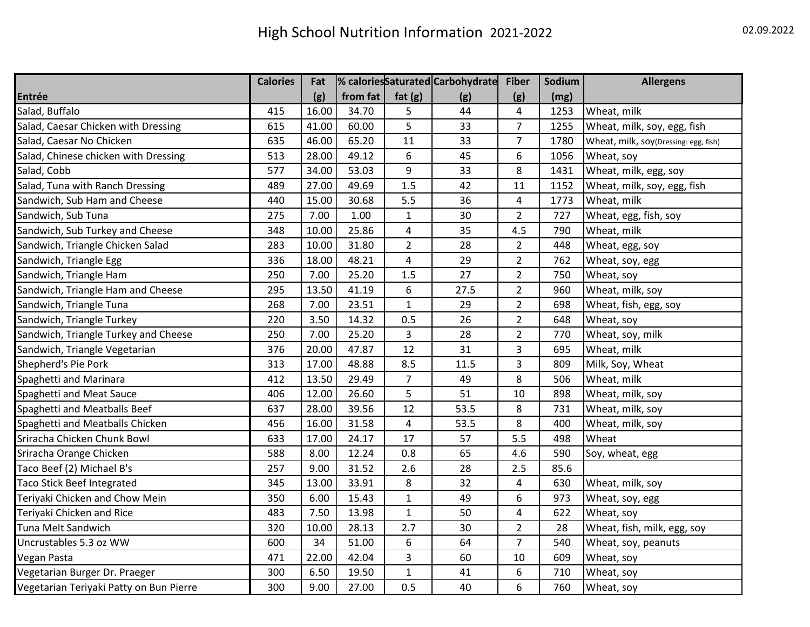|                                         | <b>Calories</b> | Fat   |            |                         | % caloriesSaturated Carbohydrate | <b>Fiber</b>   | Sodium | <b>Allergens</b>                      |
|-----------------------------------------|-----------------|-------|------------|-------------------------|----------------------------------|----------------|--------|---------------------------------------|
| Entrée                                  |                 | (g)   | from $fat$ | fat $(g)$               | (g)                              | (g)            | (mg)   |                                       |
| Salad, Buffalo                          | 415             | 16.00 | 34.70      | 5                       | 44                               | 4              | 1253   | Wheat, milk                           |
| Salad, Caesar Chicken with Dressing     | 615             | 41.00 | 60.00      | 5                       | 33                               | $\overline{7}$ | 1255   | Wheat, milk, soy, egg, fish           |
| Salad, Caesar No Chicken                | 635             | 46.00 | 65.20      | 11                      | 33                               | $\overline{7}$ | 1780   | Wheat, milk, soy(Dressing: egg, fish) |
| Salad, Chinese chicken with Dressing    | 513             | 28.00 | 49.12      | 6                       | 45                               | 6              | 1056   | Wheat, soy                            |
| Salad, Cobb                             | 577             | 34.00 | 53.03      | 9                       | 33                               | 8              | 1431   | Wheat, milk, egg, soy                 |
| Salad, Tuna with Ranch Dressing         | 489             | 27.00 | 49.69      | 1.5                     | 42                               | 11             | 1152   | Wheat, milk, soy, egg, fish           |
| Sandwich, Sub Ham and Cheese            | 440             | 15.00 | 30.68      | 5.5                     | 36                               | 4              | 1773   | Wheat, milk                           |
| Sandwich, Sub Tuna                      | 275             | 7.00  | 1.00       | $\mathbf 1$             | 30                               | $\overline{2}$ | 727    | Wheat, egg, fish, soy                 |
| Sandwich, Sub Turkey and Cheese         | 348             | 10.00 | 25.86      | $\pmb{4}$               | 35                               | 4.5            | 790    | Wheat, milk                           |
| Sandwich, Triangle Chicken Salad        | 283             | 10.00 | 31.80      | $\overline{2}$          | 28                               | $\overline{2}$ | 448    | Wheat, egg, soy                       |
| Sandwich, Triangle Egg                  | 336             | 18.00 | 48.21      | $\overline{\mathbf{4}}$ | 29                               | $\overline{2}$ | 762    | Wheat, soy, egg                       |
| Sandwich, Triangle Ham                  | 250             | 7.00  | 25.20      | 1.5                     | 27                               | $\overline{2}$ | 750    | Wheat, soy                            |
| Sandwich, Triangle Ham and Cheese       | 295             | 13.50 | 41.19      | 6                       | 27.5                             | $\overline{2}$ | 960    | Wheat, milk, soy                      |
| Sandwich, Triangle Tuna                 | 268             | 7.00  | 23.51      | $\mathbf{1}$            | 29                               | $\overline{2}$ | 698    | Wheat, fish, egg, soy                 |
| Sandwich, Triangle Turkey               | 220             | 3.50  | 14.32      | 0.5                     | 26                               | $\overline{2}$ | 648    | Wheat, soy                            |
| Sandwich, Triangle Turkey and Cheese    | 250             | 7.00  | 25.20      | 3                       | 28                               | $\overline{2}$ | 770    | Wheat, soy, milk                      |
| Sandwich, Triangle Vegetarian           | 376             | 20.00 | 47.87      | 12                      | 31                               | 3              | 695    | Wheat, milk                           |
| Shepherd's Pie Pork                     | 313             | 17.00 | 48.88      | 8.5                     | 11.5                             | 3              | 809    | Milk, Soy, Wheat                      |
| Spaghetti and Marinara                  | 412             | 13.50 | 29.49      | $\overline{7}$          | 49                               | 8              | 506    | Wheat, milk                           |
| Spaghetti and Meat Sauce                | 406             | 12.00 | 26.60      | 5                       | 51                               | 10             | 898    | Wheat, milk, soy                      |
| Spaghetti and Meatballs Beef            | 637             | 28.00 | 39.56      | 12                      | 53.5                             | 8              | 731    | Wheat, milk, soy                      |
| Spaghetti and Meatballs Chicken         | 456             | 16.00 | 31.58      | $\pmb{4}$               | 53.5                             | 8              | 400    | Wheat, milk, soy                      |
| Sriracha Chicken Chunk Bowl             | 633             | 17.00 | 24.17      | 17                      | 57                               | 5.5            | 498    | Wheat                                 |
| Sriracha Orange Chicken                 | 588             | 8.00  | 12.24      | 0.8                     | 65                               | 4.6            | 590    | Soy, wheat, egg                       |
| Taco Beef (2) Michael B's               | 257             | 9.00  | 31.52      | 2.6                     | 28                               | 2.5            | 85.6   |                                       |
| Taco Stick Beef Integrated              | 345             | 13.00 | 33.91      | 8                       | 32                               | 4              | 630    | Wheat, milk, soy                      |
| Teriyaki Chicken and Chow Mein          | 350             | 6.00  | 15.43      | $\mathbf 1$             | 49                               | 6              | 973    | Wheat, soy, egg                       |
| Teriyaki Chicken and Rice               | 483             | 7.50  | 13.98      | $\mathbf 1$             | 50                               | 4              | 622    | Wheat, soy                            |
| Tuna Melt Sandwich                      | 320             | 10.00 | 28.13      | 2.7                     | 30                               | $\overline{2}$ | 28     | Wheat, fish, milk, egg, soy           |
| Uncrustables 5.3 oz WW                  | 600             | 34    | 51.00      | 6                       | 64                               | $\overline{7}$ | 540    | Wheat, soy, peanuts                   |
| Vegan Pasta                             | 471             | 22.00 | 42.04      | 3                       | 60                               | 10             | 609    | Wheat, soy                            |
| Vegetarian Burger Dr. Praeger           | 300             | 6.50  | 19.50      | $\mathbf 1$             | 41                               | 6              | 710    | Wheat, soy                            |
| Vegetarian Teriyaki Patty on Bun Pierre | 300             | 9.00  | 27.00      | 0.5                     | 40                               | 6              | 760    | Wheat, soy                            |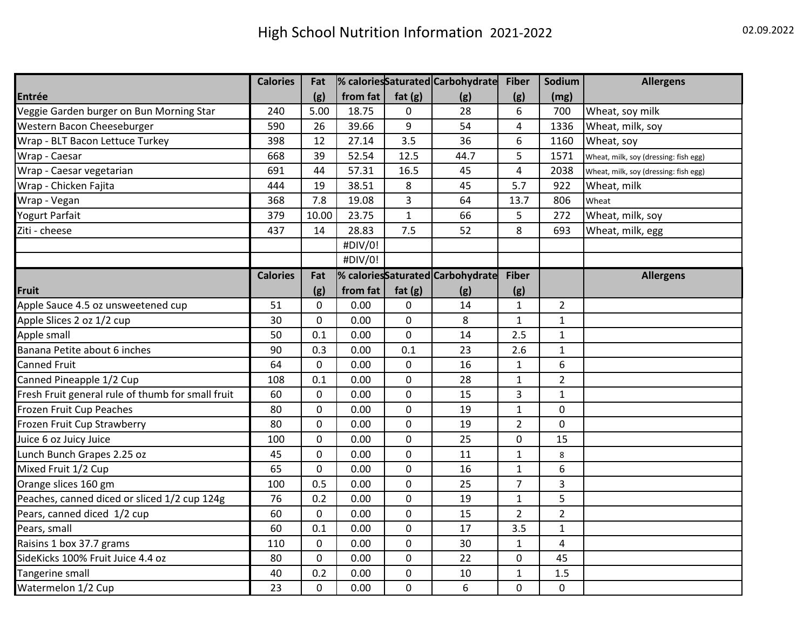|                                                   | <b>Calories</b> | Fat         |          |              | % caloriesSaturated Carbohydrate | <b>Fiber</b>   | Sodium         | <b>Allergens</b>                      |
|---------------------------------------------------|-----------------|-------------|----------|--------------|----------------------------------|----------------|----------------|---------------------------------------|
| Entrée                                            |                 | (g)         | from fat | fat $(g)$    | (g)                              | (g)            | (mg)           |                                       |
| Veggie Garden burger on Bun Morning Star          | 240             | 5.00        | 18.75    | 0            | 28                               | 6              | 700            | Wheat, soy milk                       |
| Western Bacon Cheeseburger                        | 590             | 26          | 39.66    | 9            | 54                               | 4              | 1336           | Wheat, milk, soy                      |
| Wrap - BLT Bacon Lettuce Turkey                   | 398             | 12          | 27.14    | 3.5          | 36                               | 6              | 1160           | Wheat, soy                            |
| Wrap - Caesar                                     | 668             | 39          | 52.54    | 12.5         | 44.7                             | 5              | 1571           | Wheat, milk, soy (dressing: fish egg) |
| Wrap - Caesar vegetarian                          | 691             | 44          | 57.31    | 16.5         | 45                               | $\overline{4}$ | 2038           | Wheat, milk, soy (dressing: fish egg) |
| Wrap - Chicken Fajita                             | 444             | 19          | 38.51    | 8            | 45                               | 5.7            | 922            | Wheat, milk                           |
| Wrap - Vegan                                      | 368             | 7.8         | 19.08    | 3            | 64                               | 13.7           | 806            | Wheat                                 |
| Yogurt Parfait                                    | 379             | 10.00       | 23.75    | $\mathbf{1}$ | 66                               | 5              | 272            | Wheat, milk, soy                      |
| Ziti - cheese                                     | 437             | 14          | 28.83    | 7.5          | 52                               | 8              | 693            | Wheat, milk, egg                      |
|                                                   |                 |             | #DIV/0!  |              |                                  |                |                |                                       |
|                                                   |                 |             | #DIV/0!  |              |                                  |                |                |                                       |
|                                                   | <b>Calories</b> | Fat         |          |              | % caloriesSaturated Carbohydrate | <b>Fiber</b>   |                | <b>Allergens</b>                      |
| <b>Fruit</b>                                      |                 | (g)         | from fat | fat $(g)$    | (g)                              | (g)            |                |                                       |
| Apple Sauce 4.5 oz unsweetened cup                | 51              | $\mathbf 0$ | 0.00     | 0            | 14                               | 1              | $\overline{2}$ |                                       |
| Apple Slices 2 oz 1/2 cup                         | 30              | $\mathbf 0$ | 0.00     | 0            | 8                                | $\mathbf{1}$   | $\mathbf{1}$   |                                       |
| Apple small                                       | 50              | 0.1         | 0.00     | 0            | 14                               | 2.5            | $\mathbf{1}$   |                                       |
| Banana Petite about 6 inches                      | 90              | 0.3         | 0.00     | 0.1          | 23                               | 2.6            | $\mathbf{1}$   |                                       |
| Canned Fruit                                      | 64              | $\mathbf 0$ | 0.00     | 0            | 16                               | $\mathbf{1}$   | 6              |                                       |
| Canned Pineapple 1/2 Cup                          | 108             | 0.1         | 0.00     | 0            | 28                               | $\mathbf{1}$   | $\overline{2}$ |                                       |
| Fresh Fruit general rule of thumb for small fruit | 60              | 0           | 0.00     | 0            | 15                               | 3              | $\mathbf{1}$   |                                       |
| Frozen Fruit Cup Peaches                          | 80              | $\mathbf 0$ | 0.00     | 0            | 19                               | $\mathbf{1}$   | 0              |                                       |
| Frozen Fruit Cup Strawberry                       | 80              | $\mathbf 0$ | 0.00     | 0            | 19                               | $\overline{2}$ | 0              |                                       |
| Juice 6 oz Juicy Juice                            | 100             | $\mathbf 0$ | 0.00     | 0            | 25                               | $\mathbf 0$    | 15             |                                       |
| Lunch Bunch Grapes 2.25 oz                        | 45              | 0           | 0.00     | 0            | 11                               | $\mathbf{1}$   | 8              |                                       |
| Mixed Fruit 1/2 Cup                               | 65              | 0           | 0.00     | 0            | 16                               | $\mathbf{1}$   | 6              |                                       |
| Orange slices 160 gm                              | 100             | 0.5         | 0.00     | 0            | 25                               | $\overline{7}$ | 3              |                                       |
| Peaches, canned diced or sliced 1/2 cup 124g      | 76              | 0.2         | 0.00     | 0            | 19                               | $\mathbf{1}$   | 5              |                                       |
| Pears, canned diced 1/2 cup                       | 60              | $\mathbf 0$ | 0.00     | 0            | 15                               | $\overline{2}$ | $\overline{2}$ |                                       |
| Pears, small                                      | 60              | 0.1         | 0.00     | 0            | 17                               | 3.5            | $\mathbf{1}$   |                                       |
| Raisins 1 box 37.7 grams                          | 110             | $\mathbf 0$ | 0.00     | $\mathbf 0$  | 30                               | $\mathbf{1}$   | 4              |                                       |
| SideKicks 100% Fruit Juice 4.4 oz                 | 80              | $\mathbf 0$ | 0.00     | $\pmb{0}$    | 22                               | 0              | 45             |                                       |
| Tangerine small                                   | 40              | 0.2         | 0.00     | 0            | 10                               | $\mathbf{1}$   | 1.5            |                                       |
| Watermelon 1/2 Cup                                | 23              | $\Omega$    | 0.00     | 0            | 6                                | 0              | 0              |                                       |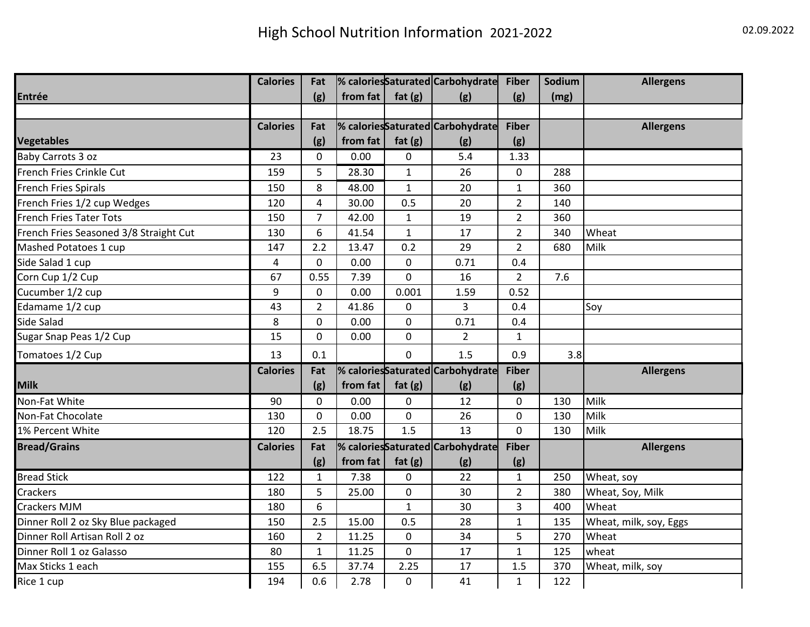|                                        | <b>Calories</b> | Fat            |          |                | % caloriesSaturated Carbohydrate | <b>Fiber</b>   | Sodium | <b>Allergens</b>       |
|----------------------------------------|-----------------|----------------|----------|----------------|----------------------------------|----------------|--------|------------------------|
| Entrée                                 |                 | (g)            | from fat | fat $(g)$      | (g)                              | (g)            | (mg)   |                        |
|                                        |                 |                |          |                |                                  |                |        |                        |
|                                        | <b>Calories</b> | Fat            |          |                | % caloriesSaturated Carbohydrate | <b>Fiber</b>   |        | <b>Allergens</b>       |
| <b>Vegetables</b>                      |                 | (g)            | from fat | fat $(g)$      | (g)                              | (g)            |        |                        |
| Baby Carrots 3 oz                      | 23              | 0              | 0.00     | 0              | 5.4                              | 1.33           |        |                        |
| French Fries Crinkle Cut               | 159             | 5              | 28.30    | $\mathbf{1}$   | 26                               | $\mathbf{0}$   | 288    |                        |
| <b>French Fries Spirals</b>            | 150             | 8              | 48.00    | $\mathbf{1}$   | 20                               | $\mathbf{1}$   | 360    |                        |
| French Fries 1/2 cup Wedges            | 120             | $\overline{4}$ | 30.00    | 0.5            | 20                               | $\overline{2}$ | 140    |                        |
| <b>French Fries Tater Tots</b>         | 150             | $\overline{7}$ | 42.00    | $\mathbf{1}$   | 19                               | $\overline{2}$ | 360    |                        |
| French Fries Seasoned 3/8 Straight Cut | 130             | 6              | 41.54    | $\mathbf{1}$   | 17                               | $\overline{2}$ | 340    | Wheat                  |
| Mashed Potatoes 1 cup                  | 147             | 2.2            | 13.47    | 0.2            | 29                               | $\overline{2}$ | 680    | Milk                   |
| Side Salad 1 cup                       | 4               | $\mathbf 0$    | 0.00     | 0              | 0.71                             | 0.4            |        |                        |
| Corn Cup 1/2 Cup                       | 67              | 0.55           | 7.39     | 0              | 16                               | $\overline{2}$ | 7.6    |                        |
| Cucumber 1/2 cup                       | 9               | $\mathbf 0$    | 0.00     | 0.001          | 1.59                             | 0.52           |        |                        |
| Edamame 1/2 cup                        | 43              | $\overline{2}$ | 41.86    | 0              | 3                                | 0.4            |        | Soy                    |
| Side Salad                             | 8               | $\mathbf 0$    | 0.00     | $\mathbf 0$    | 0.71                             | 0.4            |        |                        |
| Sugar Snap Peas 1/2 Cup                | 15              | $\mathbf 0$    | 0.00     | 0              | $\overline{2}$                   | $\mathbf{1}$   |        |                        |
| Tomatoes 1/2 Cup                       | 13              | 0.1            |          | $\overline{0}$ | 1.5                              | 0.9            | 3.8    |                        |
|                                        | <b>Calories</b> | Fat            |          |                | % caloriesSaturated Carbohydrate | <b>Fiber</b>   |        | <b>Allergens</b>       |
| <b>Milk</b>                            |                 | (g)            | from fat | fat $(g)$      | (g)                              | (g)            |        |                        |
| Non-Fat White                          | 90              | $\mathbf{0}$   | 0.00     | 0              | 12                               | $\mathbf{0}$   | 130    | Milk                   |
| Non-Fat Chocolate                      | 130             | $\mathbf 0$    | 0.00     | $\pmb{0}$      | 26                               | 0              | 130    | Milk                   |
| 1% Percent White                       | 120             | 2.5            | 18.75    | 1.5            | 13                               | $\mathbf{0}$   | 130    | <b>Milk</b>            |
| <b>Bread/Grains</b>                    | <b>Calories</b> | Fat            |          |                | % caloriesSaturated Carbohydrate | <b>Fiber</b>   |        | <b>Allergens</b>       |
|                                        |                 | (g)            | from fat | fat $(g)$      | (g)                              | (g)            |        |                        |
| <b>Bread Stick</b>                     | 122             | $\mathbf{1}$   | 7.38     | 0              | 22                               | $\mathbf{1}$   | 250    | Wheat, soy             |
| <b>Crackers</b>                        | 180             | 5              | 25.00    | $\pmb{0}$      | 30                               | $\overline{2}$ | 380    | Wheat, Soy, Milk       |
| <b>Crackers MJM</b>                    | 180             | 6              |          | $\mathbf{1}$   | 30                               | 3              | 400    | Wheat                  |
| Dinner Roll 2 oz Sky Blue packaged     | 150             | 2.5            | 15.00    | 0.5            | 28                               | $\mathbf 1$    | 135    | Wheat, milk, soy, Eggs |
| Dinner Roll Artisan Roll 2 oz          | 160             | $\overline{2}$ | 11.25    | 0              | 34                               | 5              | 270    | Wheat                  |
| Dinner Roll 1 oz Galasso               | 80              | $\mathbf{1}$   | 11.25    | 0              | 17                               | $\mathbf{1}$   | 125    | wheat                  |
| Max Sticks 1 each                      | 155             | 6.5            | 37.74    | 2.25           | 17                               | 1.5            | 370    | Wheat, milk, soy       |
| Rice 1 cup                             | 194             | 0.6            | 2.78     | 0              | 41                               | $\mathbf{1}$   | 122    |                        |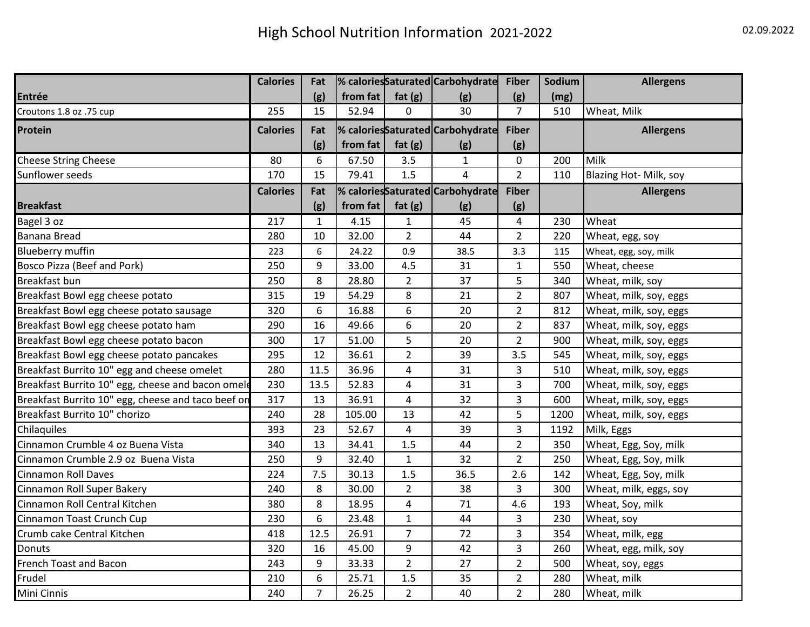|                                                    | <b>Calories</b> | Fat            |          |                         | % caloriesSaturated Carbohydrate | <b>Fiber</b>   | Sodium | <b>Allergens</b>       |
|----------------------------------------------------|-----------------|----------------|----------|-------------------------|----------------------------------|----------------|--------|------------------------|
| <b>Entrée</b>                                      |                 | (g)            | from fat | fat $(g)$               | (g)                              | (g)            | (mg)   |                        |
| Croutons 1.8 oz .75 cup                            | 255             | 15             | 52.94    | 0                       | 30                               | $\overline{7}$ | 510    | Wheat, Milk            |
| Protein                                            | <b>Calories</b> | Fat            |          |                         | % caloriesSaturated Carbohydrate | <b>Fiber</b>   |        | <b>Allergens</b>       |
|                                                    |                 | (g)            | from fat | fat $(g)$               | (g)                              | (g)            |        |                        |
| <b>Cheese String Cheese</b>                        | 80              | 6              | 67.50    | 3.5                     | $\mathbf{1}$                     | 0              | 200    | Milk                   |
| Sunflower seeds                                    | 170             | 15             | 79.41    | 1.5                     | $\overline{4}$                   | $\overline{2}$ | 110    | Blazing Hot- Milk, soy |
|                                                    | <b>Calories</b> | Fat            |          |                         | % caloriesSaturated Carbohydrate | <b>Fiber</b>   |        | <b>Allergens</b>       |
| <b>Breakfast</b>                                   |                 | (g)            | from fat | fat $(g)$               | (g)                              | (g)            |        |                        |
| Bagel 3 oz                                         | 217             | $\mathbf{1}$   | 4.15     | $\mathbf{1}$            | 45                               | $\overline{4}$ | 230    | Wheat                  |
| <b>Banana Bread</b>                                | 280             | 10             | 32.00    | $\overline{2}$          | 44                               | $\overline{2}$ | 220    | Wheat, egg, soy        |
| <b>Blueberry muffin</b>                            | 223             | 6              | 24.22    | 0.9                     | 38.5                             | 3.3            | 115    | Wheat, egg, soy, milk  |
| Bosco Pizza (Beef and Pork)                        | 250             | 9              | 33.00    | 4.5                     | 31                               | $\mathbf{1}$   | 550    | Wheat, cheese          |
| Breakfast bun                                      | 250             | 8              | 28.80    | $\overline{2}$          | 37                               | 5              | 340    | Wheat, milk, soy       |
| Breakfast Bowl egg cheese potato                   | 315             | 19             | 54.29    | 8                       | 21                               | $\overline{2}$ | 807    | Wheat, milk, soy, eggs |
| Breakfast Bowl egg cheese potato sausage           | 320             | 6              | 16.88    | 6                       | 20                               | $\overline{2}$ | 812    | Wheat, milk, soy, eggs |
| Breakfast Bowl egg cheese potato ham               | 290             | 16             | 49.66    | 6                       | 20                               | $\overline{2}$ | 837    | Wheat, milk, soy, eggs |
| Breakfast Bowl egg cheese potato bacon             | 300             | 17             | 51.00    | 5                       | 20                               | $\overline{2}$ | 900    | Wheat, milk, soy, eggs |
| Breakfast Bowl egg cheese potato pancakes          | 295             | 12             | 36.61    | $\overline{2}$          | 39                               | 3.5            | 545    | Wheat, milk, soy, eggs |
| Breakfast Burrito 10" egg and cheese omelet        | 280             | 11.5           | 36.96    | $\overline{\mathbf{4}}$ | 31                               | 3              | 510    | Wheat, milk, soy, eggs |
| Breakfast Burrito 10" egg, cheese and bacon omele  | 230             | 13.5           | 52.83    | $\overline{\mathbf{4}}$ | 31                               | 3              | 700    | Wheat, milk, soy, eggs |
| Breakfast Burrito 10" egg, cheese and taco beef on | 317             | 13             | 36.91    | $\overline{\mathbf{4}}$ | 32                               | 3              | 600    | Wheat, milk, soy, eggs |
| Breakfast Burrito 10" chorizo                      | 240             | 28             | 105.00   | 13                      | 42                               | 5              | 1200   | Wheat, milk, soy, eggs |
| Chilaquiles                                        | 393             | 23             | 52.67    | 4                       | 39                               | 3              | 1192   | Milk, Eggs             |
| Cinnamon Crumble 4 oz Buena Vista                  | 340             | 13             | 34.41    | 1.5                     | 44                               | $\overline{2}$ | 350    | Wheat, Egg, Soy, milk  |
| Cinnamon Crumble 2.9 oz Buena Vista                | 250             | 9              | 32.40    | $\mathbf{1}$            | 32                               | $\overline{2}$ | 250    | Wheat, Egg, Soy, milk  |
| <b>Cinnamon Roll Daves</b>                         | 224             | 7.5            | 30.13    | 1.5                     | 36.5                             | 2.6            | 142    | Wheat, Egg, Soy, milk  |
| Cinnamon Roll Super Bakery                         | 240             | 8              | 30.00    | $\overline{2}$          | 38                               | 3              | 300    | Wheat, milk, eggs, soy |
| Cinnamon Roll Central Kitchen                      | 380             | 8              | 18.95    | $\overline{\mathbf{4}}$ | 71                               | 4.6            | 193    | Wheat, Soy, milk       |
| Cinnamon Toast Crunch Cup                          | 230             | 6              | 23.48    | $\mathbf{1}$            | 44                               | 3              | 230    | Wheat, soy             |
| Crumb cake Central Kitchen                         | 418             | 12.5           | 26.91    | $\overline{7}$          | 72                               | 3              | 354    | Wheat, milk, egg       |
| Donuts                                             | 320             | 16             | 45.00    | 9                       | 42                               | 3              | 260    | Wheat, egg, milk, soy  |
| French Toast and Bacon                             | 243             | 9              | 33.33    | $\overline{2}$          | 27                               | $\overline{2}$ | 500    | Wheat, soy, eggs       |
| Frudel                                             | 210             | 6              | 25.71    | 1.5                     | 35                               | $\overline{2}$ | 280    | Wheat, milk            |
| Mini Cinnis                                        | 240             | $\overline{7}$ | 26.25    | $\overline{2}$          | 40                               | $\overline{2}$ | 280    | Wheat, milk            |